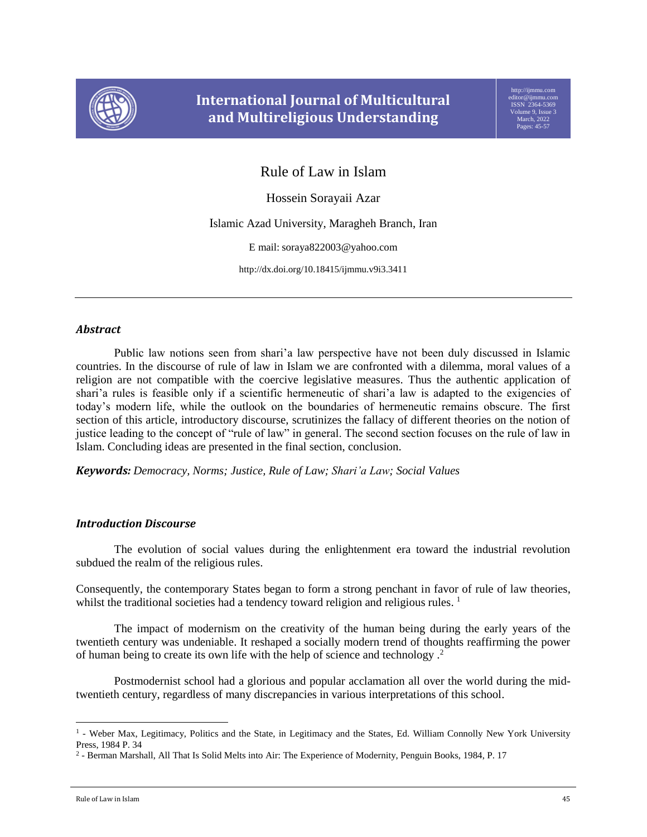

# **International Journal of Multicultural and Multireligious Understanding**

[http://ijmmu.com](http://ijmmu.com/) [editor@ijmmu.com](mailto:editor@ijmmu.com) ISSN 2364-5369 Volume 9, Issue 3  $\omega$ Pages: 45-57

## Rule of Law in Islam

Hossein Sorayaii Azar

Islamic Azad University, Maragheh Branch, Iran

E mail: soraya822003@yahoo.com

http://dx.doi.org/10.18415/ijmmu.v9i3.3411

#### *Abstract*

Public law notions seen from shari'a law perspective have not been duly discussed in Islamic countries. In the discourse of rule of law in Islam we are confronted with a dilemma, moral values of a religion are not compatible with the coercive legislative measures. Thus the authentic application of shari'a rules is feasible only if a scientific hermeneutic of shari'a law is adapted to the exigencies of today's modern life, while the outlook on the boundaries of hermeneutic remains obscure. The first section of this article, introductory discourse, scrutinizes the fallacy of different theories on the notion of justice leading to the concept of "rule of law" in general. The second section focuses on the rule of law in Islam. Concluding ideas are presented in the final section, conclusion.

*Keywords: Democracy, Norms; Justice, Rule of Law; Shari'a Law; Social Values* 

#### *Introduction Discourse*

The evolution of social values during the enlightenment era toward the industrial revolution subdued the realm of the religious rules.

Consequently, the contemporary States began to form a strong penchant in favor of rule of law theories, whilst the traditional societies had a tendency toward religion and religious rules.<sup>1</sup>

The impact of modernism on the creativity of the human being during the early years of the twentieth century was undeniable. It reshaped a socially modern trend of thoughts reaffirming the power of human being to create its own life with the help of science and technology .<sup>2</sup>

Postmodernist school had a glorious and popular acclamation all over the world during the midtwentieth century, regardless of many discrepancies in various interpretations of this school.

l

<sup>1</sup> - Weber Max, Legitimacy, Politics and the State, in Legitimacy and the States, Ed. William Connolly New York University Press, 1984 P. 34

<sup>2</sup> - Berman Marshall, All That Is Solid Melts into Air: The Experience of Modernity, Penguin Books, 1984, P. 17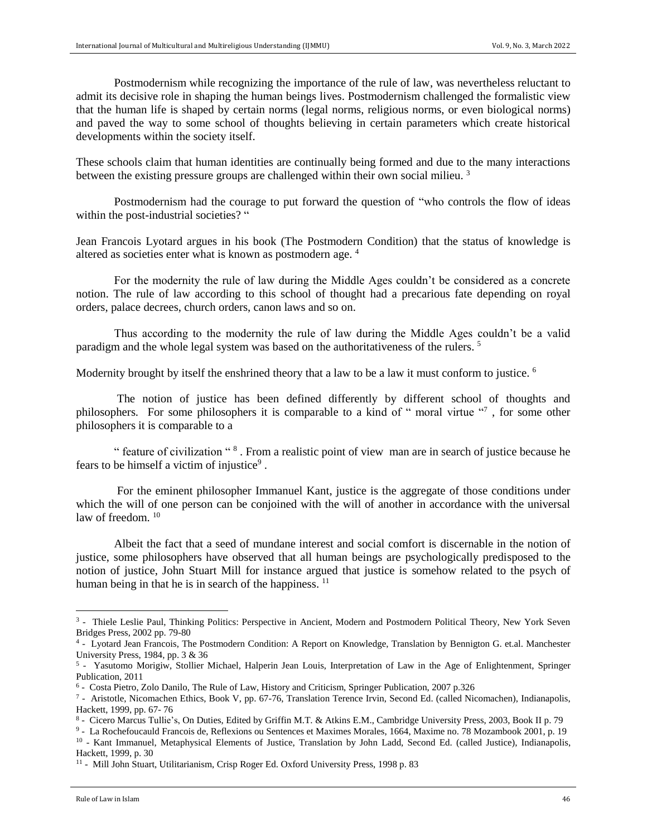Postmodernism while recognizing the importance of the rule of law, was nevertheless reluctant to admit its decisive role in shaping the human beings lives. Postmodernism challenged the formalistic view that the human life is shaped by certain norms (legal norms, religious norms, or even biological norms) and paved the way to some school of thoughts believing in certain parameters which create historical developments within the society itself.

These schools claim that human identities are continually being formed and due to the many interactions between the existing pressure groups are challenged within their own social milieu.<sup>3</sup>

Postmodernism had the courage to put forward the question of "who controls the flow of ideas within the post-industrial societies? "

Jean Francois Lyotard argues in his book (The Postmodern Condition) that the status of knowledge is altered as societies enter what is known as postmodern age. <sup>4</sup>

For the modernity the rule of law during the Middle Ages couldn't be considered as a concrete notion. The rule of law according to this school of thought had a precarious fate depending on royal orders, palace decrees, church orders, canon laws and so on.

Thus according to the modernity the rule of law during the Middle Ages couldn't be a valid paradigm and the whole legal system was based on the authoritativeness of the rulers. <sup>5</sup>

Modernity brought by itself the enshrined theory that a law to be a law it must conform to justice. <sup>6</sup>

The notion of justice has been defined differently by different school of thoughts and philosophers. For some philosophers it is comparable to a kind of " moral virtue "7, for some other philosophers it is comparable to a

" feature of civilization "<sup>8</sup>. From a realistic point of view man are in search of justice because he fears to be himself a victim of injustice<sup>9</sup>.

For the eminent philosopher Immanuel Kant, justice is the aggregate of those conditions under which the will of one person can be conjoined with the will of another in accordance with the universal law of freedom.<sup>10</sup>

Albeit the fact that a seed of mundane interest and social comfort is discernable in the notion of justice, some philosophers have observed that all human beings are psychologically predisposed to the notion of justice, John Stuart Mill for instance argued that justice is somehow related to the psych of human being in that he is in search of the happiness.<sup>11</sup>

 $\overline{\phantom{a}}$ 

<sup>&</sup>lt;sup>3</sup> - Thiele Leslie Paul, Thinking Politics: Perspective in Ancient, Modern and Postmodern Political Theory, New York Seven Bridges Press, 2002 pp. 79-80

<sup>4</sup> - Lyotard Jean Francois, The Postmodern Condition: A Report on Knowledge, Translation by Bennigton G. et.al. Manchester University Press, 1984, pp. 3 & 36

<sup>5</sup> - Yasutomo Morigiw, Stollier Michael, Halperin Jean Louis, Interpretation of Law in the Age of Enlightenment, Springer Publication, 2011

<sup>6</sup> - Costa Pietro, Zolo Danilo, The Rule of Law, History and Criticism, Springer Publication, 2007 p.326

<sup>7</sup> - Aristotle, Nicomachen Ethics, Book V, pp. 67-76, Translation Terence Irvin, Second Ed. (called Nicomachen), Indianapolis, Hackett, 1999, pp. 67- 76

<sup>8</sup> - Cicero Marcus Tullie's, On Duties, Edited by Griffin M.T. & Atkins E.M., Cambridge University Press, 2003, Book II p. 79

<sup>9</sup> - La Rochefoucauld Francois de, Reflexions ou Sentences et Maximes Morales, 1664, Maxime no. 78 Mozambook 2001, p. 19

<sup>&</sup>lt;sup>10</sup> - Kant Immanuel, Metaphysical Elements of Justice, Translation by John Ladd, Second Ed. (called Justice), Indianapolis, Hackett, 1999, p. 30

<sup>&</sup>lt;sup>11</sup> - Mill John Stuart, Utilitarianism, Crisp Roger Ed. Oxford University Press, 1998 p. 83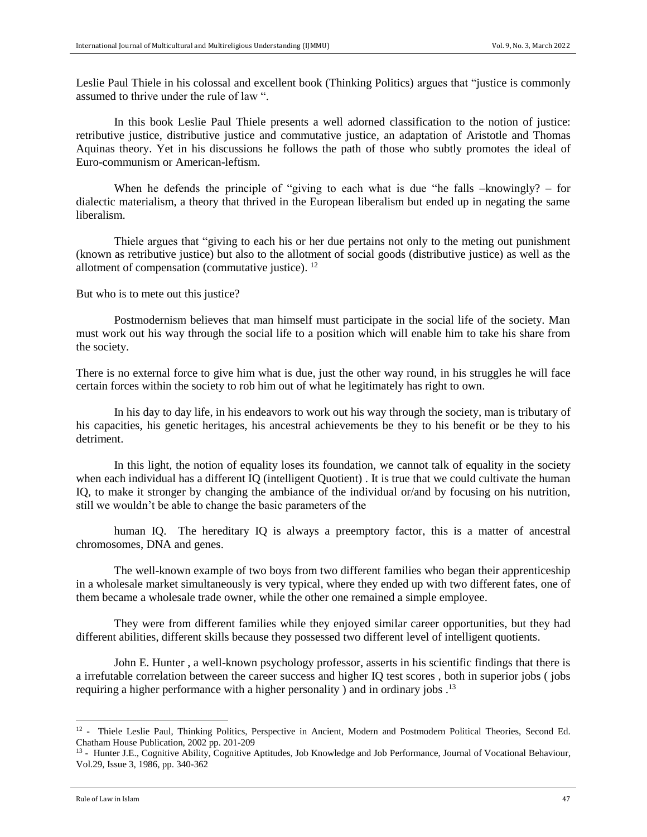Leslie Paul Thiele in his colossal and excellent book (Thinking Politics) argues that "justice is commonly assumed to thrive under the rule of law ".

In this book Leslie Paul Thiele presents a well adorned classification to the notion of justice: retributive justice, distributive justice and commutative justice, an adaptation of Aristotle and Thomas Aquinas theory. Yet in his discussions he follows the path of those who subtly promotes the ideal of Euro-communism or American-leftism.

When he defends the principle of "giving to each what is due "he falls –knowingly? – for dialectic materialism, a theory that thrived in the European liberalism but ended up in negating the same liberalism.

Thiele argues that "giving to each his or her due pertains not only to the meting out punishment (known as retributive justice) but also to the allotment of social goods (distributive justice) as well as the allotment of compensation (commutative justice).  $12$ 

But who is to mete out this justice?

Postmodernism believes that man himself must participate in the social life of the society. Man must work out his way through the social life to a position which will enable him to take his share from the society.

There is no external force to give him what is due, just the other way round, in his struggles he will face certain forces within the society to rob him out of what he legitimately has right to own.

In his day to day life, in his endeavors to work out his way through the society, man is tributary of his capacities, his genetic heritages, his ancestral achievements be they to his benefit or be they to his detriment.

In this light, the notion of equality loses its foundation, we cannot talk of equality in the society when each individual has a different IO (intelligent Quotient). It is true that we could cultivate the human IQ, to make it stronger by changing the ambiance of the individual or/and by focusing on his nutrition, still we wouldn't be able to change the basic parameters of the

human IQ. The hereditary IQ is always a preemptory factor, this is a matter of ancestral chromosomes, DNA and genes.

The well-known example of two boys from two different families who began their apprenticeship in a wholesale market simultaneously is very typical, where they ended up with two different fates, one of them became a wholesale trade owner, while the other one remained a simple employee.

They were from different families while they enjoyed similar career opportunities, but they had different abilities, different skills because they possessed two different level of intelligent quotients.

John E. Hunter , a well-known psychology professor, asserts in his scientific findings that there is a irrefutable correlation between the career success and higher IQ test scores , both in superior jobs ( jobs requiring a higher performance with a higher personality ) and in ordinary jobs .<sup>13</sup>

 $\overline{\phantom{a}}$ 

<sup>&</sup>lt;sup>12</sup> - Thiele Leslie Paul, Thinking Politics, Perspective in Ancient, Modern and Postmodern Political Theories, Second Ed. Chatham House Publication, 2002 pp. 201-209

<sup>&</sup>lt;sup>13</sup> - Hunter J.E., Cognitive Ability, Cognitive Aptitudes, Job Knowledge and Job Performance, Journal of Vocational Behaviour, Vol.29, Issue 3, 1986, pp. 340-362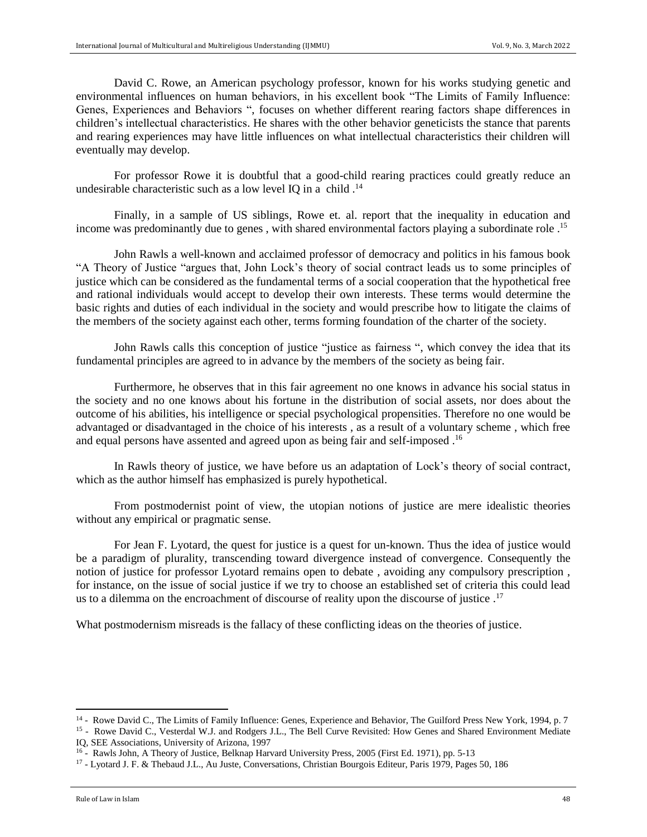David C. Rowe, an American psychology professor, known for his works studying genetic and environmental influences on human behaviors, in his excellent book "The Limits of Family Influence: Genes, Experiences and Behaviors ", focuses on whether different rearing factors shape differences in children's intellectual characteristics. He shares with the other behavior geneticists the stance that parents and rearing experiences may have little influences on what intellectual characteristics their children will eventually may develop.

For professor Rowe it is doubtful that a good-child rearing practices could greatly reduce an undesirable characteristic such as a low level IO in a child .<sup>14</sup>

Finally, in a sample of US siblings, Rowe et. al. report that the inequality in education and income was predominantly due to genes , with shared environmental factors playing a subordinate role .<sup>15</sup>

John Rawls a well-known and acclaimed professor of democracy and politics in his famous book "A Theory of Justice "argues that, John Lock's theory of social contract leads us to some principles of justice which can be considered as the fundamental terms of a social cooperation that the hypothetical free and rational individuals would accept to develop their own interests. These terms would determine the basic rights and duties of each individual in the society and would prescribe how to litigate the claims of the members of the society against each other, terms forming foundation of the charter of the society.

John Rawls calls this conception of justice "justice as fairness ", which convey the idea that its fundamental principles are agreed to in advance by the members of the society as being fair.

Furthermore, he observes that in this fair agreement no one knows in advance his social status in the society and no one knows about his fortune in the distribution of social assets, nor does about the outcome of his abilities, his intelligence or special psychological propensities. Therefore no one would be advantaged or disadvantaged in the choice of his interests , as a result of a voluntary scheme , which free and equal persons have assented and agreed upon as being fair and self-imposed.<sup>16</sup>

In Rawls theory of justice, we have before us an adaptation of Lock's theory of social contract, which as the author himself has emphasized is purely hypothetical.

From postmodernist point of view, the utopian notions of justice are mere idealistic theories without any empirical or pragmatic sense.

For Jean F. Lyotard, the quest for justice is a quest for un-known. Thus the idea of justice would be a paradigm of plurality, transcending toward divergence instead of convergence. Consequently the notion of justice for professor Lyotard remains open to debate , avoiding any compulsory prescription , for instance, on the issue of social justice if we try to choose an established set of criteria this could lead us to a dilemma on the encroachment of discourse of reality upon the discourse of justice .<sup>17</sup>

What postmodernism misreads is the fallacy of these conflicting ideas on the theories of justice.

<sup>&</sup>lt;sup>14</sup> - Rowe David C., The Limits of Family Influence: Genes, Experience and Behavior, The Guilford Press New York, 1994, p. 7

<sup>&</sup>lt;sup>15</sup> - Rowe David C., Vesterdal W.J. and Rodgers J.L., The Bell Curve Revisited: How Genes and Shared Environment Mediate IQ, SEE Associations, University of Arizona, 1997

<sup>&</sup>lt;sup>16</sup> - Rawls John, A Theory of Justice, Belknap Harvard University Press, 2005 (First Ed. 1971), pp. 5-13

<sup>&</sup>lt;sup>17</sup> - Lyotard J. F. & Thebaud J.L., Au Juste, Conversations, Christian Bourgois Editeur, Paris 1979, Pages 50, 186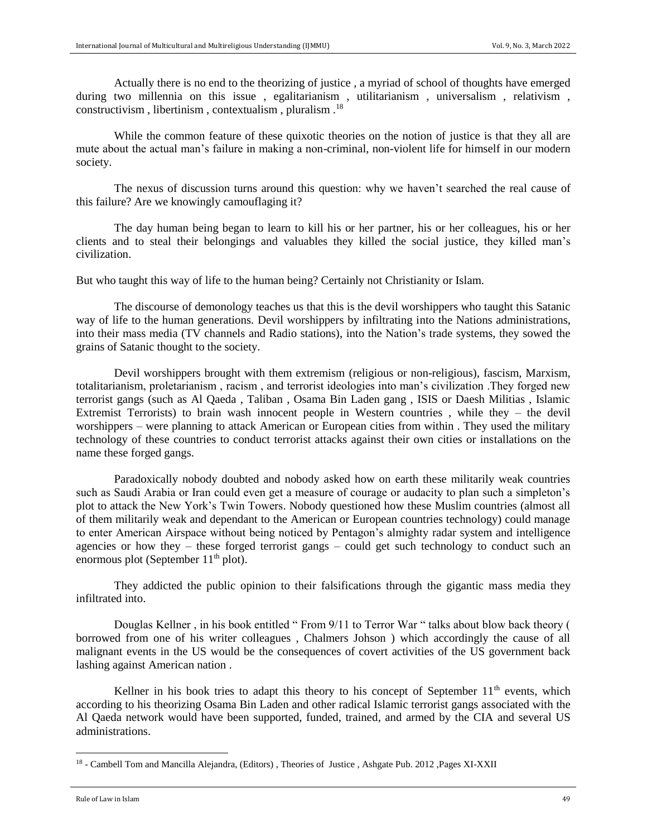Actually there is no end to the theorizing of justice , a myriad of school of thoughts have emerged during two millennia on this issue , egalitarianism , utilitarianism , universalism , relativism , constructivism , libertinism , contextualism , pluralism .<sup>18</sup>

While the common feature of these quixotic theories on the notion of justice is that they all are mute about the actual man's failure in making a non-criminal, non-violent life for himself in our modern society.

The nexus of discussion turns around this question: why we haven't searched the real cause of this failure? Are we knowingly camouflaging it?

The day human being began to learn to kill his or her partner, his or her colleagues, his or her clients and to steal their belongings and valuables they killed the social justice, they killed man's civilization.

But who taught this way of life to the human being? Certainly not Christianity or Islam.

The discourse of demonology teaches us that this is the devil worshippers who taught this Satanic way of life to the human generations. Devil worshippers by infiltrating into the Nations administrations, into their mass media (TV channels and Radio stations), into the Nation's trade systems, they sowed the grains of Satanic thought to the society.

Devil worshippers brought with them extremism (religious or non-religious), fascism, Marxism, totalitarianism, proletarianism , racism , and terrorist ideologies into man's civilization .They forged new terrorist gangs (such as Al Qaeda , Taliban , Osama Bin Laden gang , ISIS or Daesh Militias , Islamic Extremist Terrorists) to brain wash innocent people in Western countries , while they – the devil worshippers – were planning to attack American or European cities from within . They used the military technology of these countries to conduct terrorist attacks against their own cities or installations on the name these forged gangs.

Paradoxically nobody doubted and nobody asked how on earth these militarily weak countries such as Saudi Arabia or Iran could even get a measure of courage or audacity to plan such a simpleton's plot to attack the New York's Twin Towers. Nobody questioned how these Muslim countries (almost all of them militarily weak and dependant to the American or European countries technology) could manage to enter American Airspace without being noticed by Pentagon's almighty radar system and intelligence agencies or how they – these forged terrorist gangs – could get such technology to conduct such an enormous plot (September  $11<sup>th</sup>$  plot).

They addicted the public opinion to their falsifications through the gigantic mass media they infiltrated into.

Douglas Kellner , in his book entitled " From 9/11 to Terror War " talks about blow back theory ( borrowed from one of his writer colleagues , Chalmers Johson ) which accordingly the cause of all malignant events in the US would be the consequences of covert activities of the US government back lashing against American nation .

Kellner in his book tries to adapt this theory to his concept of September  $11<sup>th</sup>$  events, which according to his theorizing Osama Bin Laden and other radical Islamic terrorist gangs associated with the Al Qaeda network would have been supported, funded, trained, and armed by the CIA and several US administrations.

 $\overline{\phantom{a}}$ 

<sup>&</sup>lt;sup>18</sup> - Cambell Tom and Mancilla Alejandra, (Editors), Theories of Justice, Ashgate Pub. 2012, Pages XI-XXII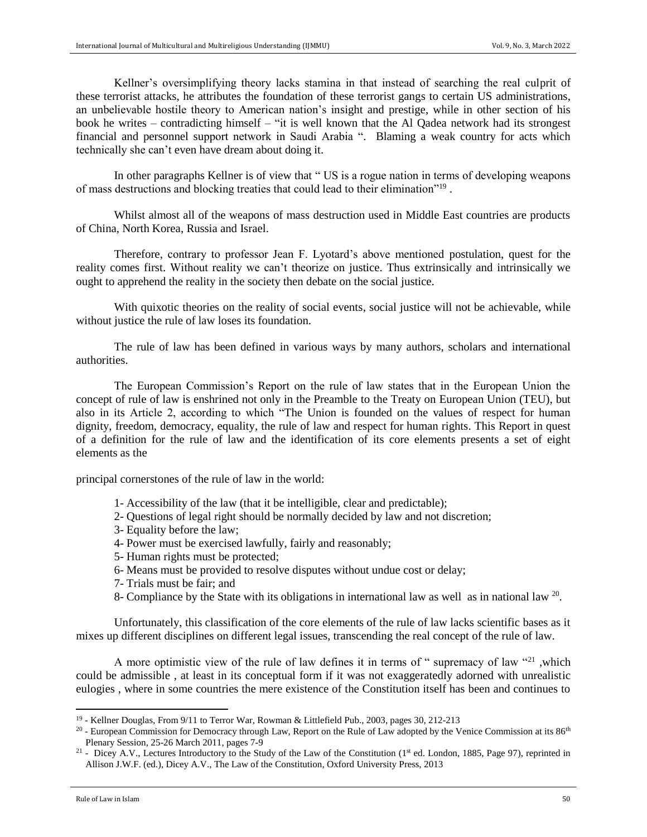Kellner's oversimplifying theory lacks stamina in that instead of searching the real culprit of these terrorist attacks, he attributes the foundation of these terrorist gangs to certain US administrations, an unbelievable hostile theory to American nation's insight and prestige, while in other section of his book he writes – contradicting himself – "it is well known that the Al Qadea network had its strongest financial and personnel support network in Saudi Arabia ". Blaming a weak country for acts which technically she can't even have dream about doing it.

In other paragraphs Kellner is of view that " US is a rogue nation in terms of developing weapons of mass destructions and blocking treaties that could lead to their elimination"<sup>19</sup>.

Whilst almost all of the weapons of mass destruction used in Middle East countries are products of China, North Korea, Russia and Israel.

Therefore, contrary to professor Jean F. Lyotard's above mentioned postulation, quest for the reality comes first. Without reality we can't theorize on justice. Thus extrinsically and intrinsically we ought to apprehend the reality in the society then debate on the social justice.

With quixotic theories on the reality of social events, social justice will not be achievable, while without justice the rule of law loses its foundation.

The rule of law has been defined in various ways by many authors, scholars and international authorities.

The European Commission's Report on the rule of law states that in the European Union the concept of rule of law is enshrined not only in the Preamble to the Treaty on European Union (TEU), but also in its Article 2, according to which "The Union is founded on the values of respect for human dignity, freedom, democracy, equality, the rule of law and respect for human rights. This Report in quest of a definition for the rule of law and the identification of its core elements presents a set of eight elements as the

principal cornerstones of the rule of law in the world:

- 1- Accessibility of the law (that it be intelligible, clear and predictable);
- 2- Questions of legal right should be normally decided by law and not discretion;
- 3- Equality before the law;
- 4- Power must be exercised lawfully, fairly and reasonably;
- 5- Human rights must be protected;
- 6- Means must be provided to resolve disputes without undue cost or delay;
- 7- Trials must be fair; and
- 8- Compliance by the State with its obligations in international law as well as in national law  $20$ .

Unfortunately, this classification of the core elements of the rule of law lacks scientific bases as it mixes up different disciplines on different legal issues, transcending the real concept of the rule of law.

A more optimistic view of the rule of law defines it in terms of " supremacy of law "21, which could be admissible , at least in its conceptual form if it was not exaggeratedly adorned with unrealistic eulogies , where in some countries the mere existence of the Constitution itself has been and continues to

<sup>&</sup>lt;sup>19</sup> - Kellner Douglas, From 9/11 to Terror War, Rowman & Littlefield Pub., 2003, pages 30, 212-213

<sup>&</sup>lt;sup>20</sup> - European Commission for Democracy through Law, Report on the Rule of Law adopted by the Venice Commission at its  $86<sup>th</sup>$ Plenary Session, 25-26 March 2011, pages 7-9

<sup>&</sup>lt;sup>21</sup> - Dicey A.V., Lectures Introductory to the Study of the Law of the Constitution ( $1<sup>st</sup>$  ed. London, 1885, Page 97), reprinted in Allison J.W.F. (ed.), Dicey A.V., The Law of the Constitution, Oxford University Press, 2013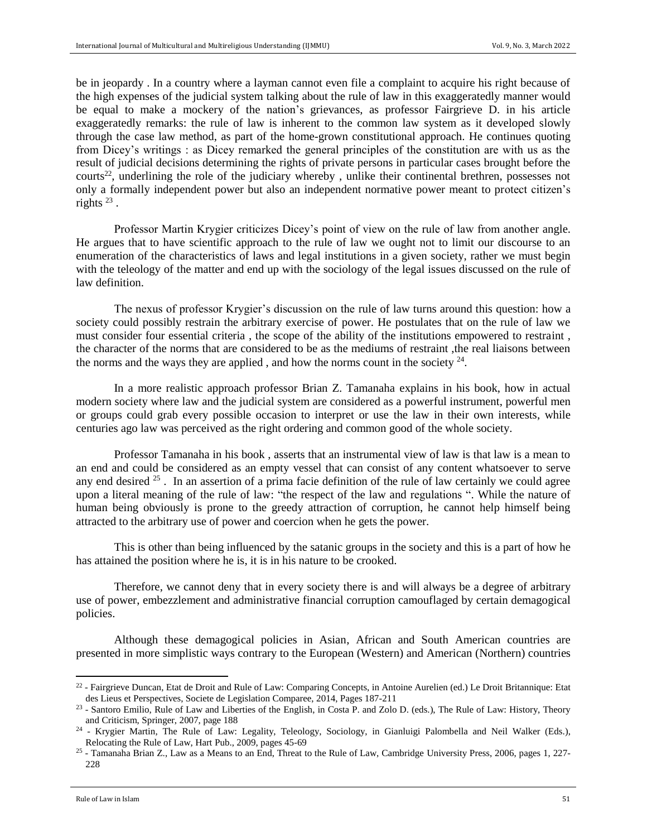be in jeopardy . In a country where a layman cannot even file a complaint to acquire his right because of the high expenses of the judicial system talking about the rule of law in this exaggeratedly manner would be equal to make a mockery of the nation's grievances, as professor Fairgrieve D. in his article exaggeratedly remarks: the rule of law is inherent to the common law system as it developed slowly through the case law method, as part of the home-grown constitutional approach. He continues quoting from Dicey's writings : as Dicey remarked the general principles of the constitution are with us as the result of judicial decisions determining the rights of private persons in particular cases brought before the courts<sup>22</sup>, underlining the role of the judiciary whereby, unlike their continental brethren, possesses not only a formally independent power but also an independent normative power meant to protect citizen's rights  $^{23}$ .

Professor Martin Krygier criticizes Dicey's point of view on the rule of law from another angle. He argues that to have scientific approach to the rule of law we ought not to limit our discourse to an enumeration of the characteristics of laws and legal institutions in a given society, rather we must begin with the teleology of the matter and end up with the sociology of the legal issues discussed on the rule of law definition.

The nexus of professor Krygier's discussion on the rule of law turns around this question: how a society could possibly restrain the arbitrary exercise of power. He postulates that on the rule of law we must consider four essential criteria , the scope of the ability of the institutions empowered to restraint , the character of the norms that are considered to be as the mediums of restraint ,the real liaisons between the norms and the ways they are applied, and how the norms count in the society  $24$ .

In a more realistic approach professor Brian Z. Tamanaha explains in his book, how in actual modern society where law and the judicial system are considered as a powerful instrument, powerful men or groups could grab every possible occasion to interpret or use the law in their own interests, while centuries ago law was perceived as the right ordering and common good of the whole society.

Professor Tamanaha in his book , asserts that an instrumental view of law is that law is a mean to an end and could be considered as an empty vessel that can consist of any content whatsoever to serve any end desired <sup>25</sup>. In an assertion of a prima facie definition of the rule of law certainly we could agree upon a literal meaning of the rule of law: "the respect of the law and regulations ". While the nature of human being obviously is prone to the greedy attraction of corruption, he cannot help himself being attracted to the arbitrary use of power and coercion when he gets the power.

This is other than being influenced by the satanic groups in the society and this is a part of how he has attained the position where he is, it is in his nature to be crooked.

Therefore, we cannot deny that in every society there is and will always be a degree of arbitrary use of power, embezzlement and administrative financial corruption camouflaged by certain demagogical policies.

Although these demagogical policies in Asian, African and South American countries are presented in more simplistic ways contrary to the European (Western) and American (Northern) countries

l

<sup>&</sup>lt;sup>22</sup> - Fairgrieve Duncan, Etat de Droit and Rule of Law: Comparing Concepts, in Antoine Aurelien (ed.) Le Droit Britannique: Etat des Lieus et Perspectives, Societe de Legislation Comparee, 2014, Pages 187-211

<sup>&</sup>lt;sup>23</sup> - Santoro Emilio, Rule of Law and Liberties of the English, in Costa P. and Zolo D. (eds.), The Rule of Law: History, Theory and Criticism, Springer, 2007, page 188

<sup>24</sup> - Krygier Martin, The Rule of Law: Legality, Teleology, Sociology, in Gianluigi Palombella and Neil Walker (Eds.),

Relocating the Rule of Law, Hart Pub., 2009, pages 45-69<br><sup>25</sup> - Tamanaha Brian Z., Law as a Means to an End, Threat to the Rule of Law, Cambridge University Press, 2006, pages 1, 227-228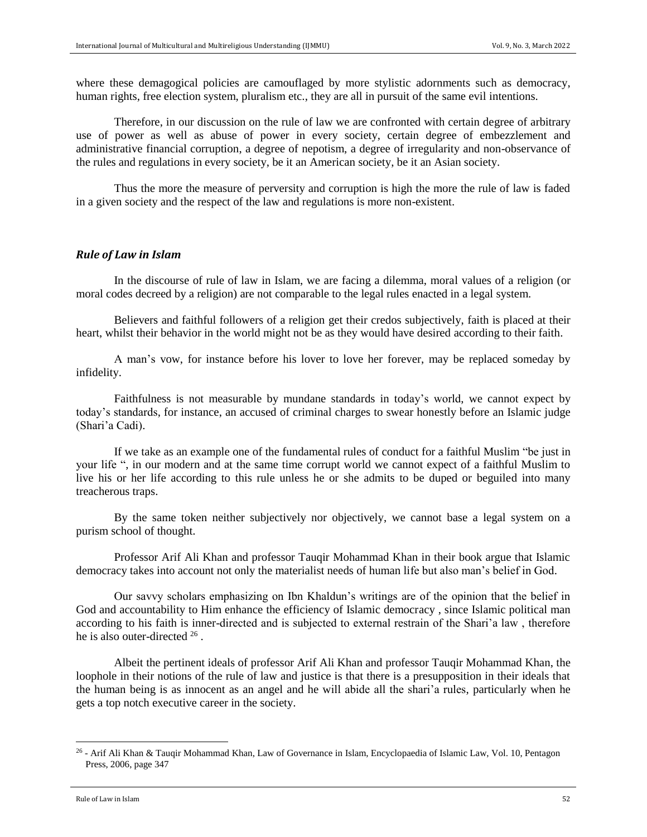where these demagogical policies are camouflaged by more stylistic adornments such as democracy, human rights, free election system, pluralism etc., they are all in pursuit of the same evil intentions.

Therefore, in our discussion on the rule of law we are confronted with certain degree of arbitrary use of power as well as abuse of power in every society, certain degree of embezzlement and administrative financial corruption, a degree of nepotism, a degree of irregularity and non-observance of the rules and regulations in every society, be it an American society, be it an Asian society.

Thus the more the measure of perversity and corruption is high the more the rule of law is faded in a given society and the respect of the law and regulations is more non-existent.

#### *Rule of Law in Islam*

In the discourse of rule of law in Islam, we are facing a dilemma, moral values of a religion (or moral codes decreed by a religion) are not comparable to the legal rules enacted in a legal system.

Believers and faithful followers of a religion get their credos subjectively, faith is placed at their heart, whilst their behavior in the world might not be as they would have desired according to their faith.

A man's vow, for instance before his lover to love her forever, may be replaced someday by infidelity.

Faithfulness is not measurable by mundane standards in today's world, we cannot expect by today's standards, for instance, an accused of criminal charges to swear honestly before an Islamic judge (Shari'a Cadi).

If we take as an example one of the fundamental rules of conduct for a faithful Muslim "be just in your life ", in our modern and at the same time corrupt world we cannot expect of a faithful Muslim to live his or her life according to this rule unless he or she admits to be duped or beguiled into many treacherous traps.

By the same token neither subjectively nor objectively, we cannot base a legal system on a purism school of thought.

Professor Arif Ali Khan and professor Tauqir Mohammad Khan in their book argue that Islamic democracy takes into account not only the materialist needs of human life but also man's belief in God.

Our savvy scholars emphasizing on Ibn Khaldun's writings are of the opinion that the belief in God and accountability to Him enhance the efficiency of Islamic democracy , since Islamic political man according to his faith is inner-directed and is subjected to external restrain of the Shari'a law , therefore he is also outer-directed <sup>26</sup>.

Albeit the pertinent ideals of professor Arif Ali Khan and professor Tauqir Mohammad Khan, the loophole in their notions of the rule of law and justice is that there is a presupposition in their ideals that the human being is as innocent as an angel and he will abide all the shari'a rules, particularly when he gets a top notch executive career in the society.

<sup>&</sup>lt;sup>26</sup> - Arif Ali Khan & Tauqir Mohammad Khan, Law of Governance in Islam, Encyclopaedia of Islamic Law, Vol. 10, Pentagon Press, 2006, page 347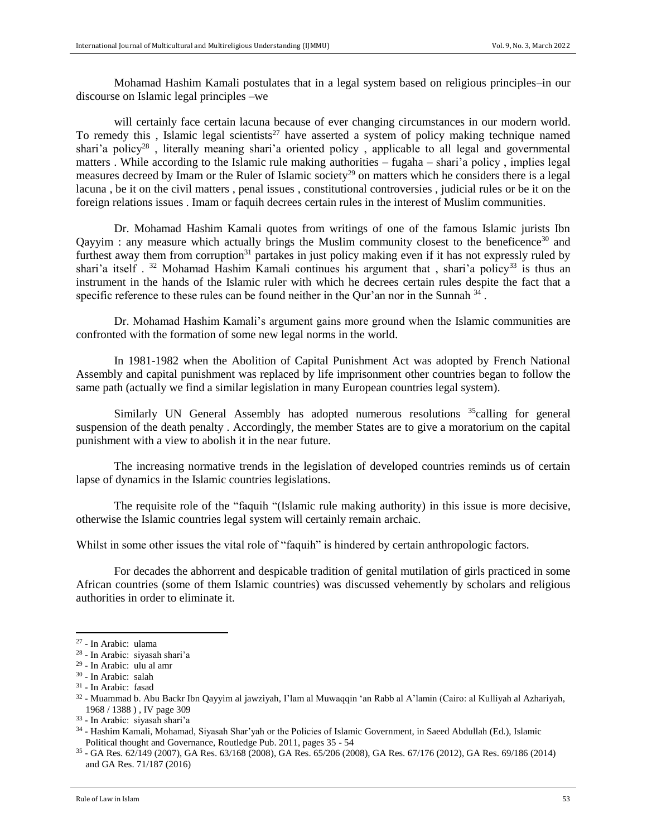Mohamad Hashim Kamali postulates that in a legal system based on religious principles–in our discourse on Islamic legal principles –we

will certainly face certain lacuna because of ever changing circumstances in our modern world. To remedy this, Islamic legal scientists<sup>27</sup> have asserted a system of policy making technique named shari'a policy<sup>28</sup>, literally meaning shari'a oriented policy, applicable to all legal and governmental matters . While according to the Islamic rule making authorities – fugaha – shari'a policy , implies legal measures decreed by Imam or the Ruler of Islamic society<sup>29</sup> on matters which he considers there is a legal lacuna , be it on the civil matters , penal issues , constitutional controversies , judicial rules or be it on the foreign relations issues . Imam or faquih decrees certain rules in the interest of Muslim communities.

Dr. Mohamad Hashim Kamali quotes from writings of one of the famous Islamic jurists Ibn Qayyim : any measure which actually brings the Muslim community closest to the beneficence<sup>30</sup> and furthest away them from corruption<sup>31</sup> partakes in just policy making even if it has not expressly ruled by shari'a itself .  $32$  Mohamad Hashim Kamali continues his argument that , shari'a policy<sup>33</sup> is thus an instrument in the hands of the Islamic ruler with which he decrees certain rules despite the fact that a specific reference to these rules can be found neither in the Qur'an nor in the Sunnah <sup>34</sup>.

Dr. Mohamad Hashim Kamali's argument gains more ground when the Islamic communities are confronted with the formation of some new legal norms in the world.

In 1981-1982 when the Abolition of Capital Punishment Act was adopted by French National Assembly and capital punishment was replaced by life imprisonment other countries began to follow the same path (actually we find a similar legislation in many European countries legal system).

Similarly UN General Assembly has adopted numerous resolutions <sup>35</sup>calling for general suspension of the death penalty . Accordingly, the member States are to give a moratorium on the capital punishment with a view to abolish it in the near future.

The increasing normative trends in the legislation of developed countries reminds us of certain lapse of dynamics in the Islamic countries legislations.

The requisite role of the "faquih "(Islamic rule making authority) in this issue is more decisive, otherwise the Islamic countries legal system will certainly remain archaic.

Whilst in some other issues the vital role of "faquih" is hindered by certain anthropologic factors.

For decades the abhorrent and despicable tradition of genital mutilation of girls practiced in some African countries (some of them Islamic countries) was discussed vehemently by scholars and religious authorities in order to eliminate it.

<sup>27</sup> - In Arabic: ulama

<sup>28</sup> - In Arabic: siyasah shari'a

<sup>29</sup> - In Arabic: ulu al amr

<sup>30</sup> - In Arabic: salah

<sup>31</sup> - In Arabic: fasad

<sup>32</sup> - Muammad b. Abu Backr Ibn Qayyim al jawziyah, I'lam al Muwaqqin 'an Rabb al A'lamin (Cairo: al Kulliyah al Azhariyah, 1968 / 1388 ) , IV page 309

<sup>33</sup> - In Arabic: siyasah shari'a

<sup>34</sup> - Hashim Kamali, Mohamad, Siyasah Shar'yah or the Policies of Islamic Government, in Saeed Abdullah (Ed.), Islamic Political thought and Governance, Routledge Pub. 2011, pages 35 - 54

<sup>35</sup> - GA Res. 62/149 (2007), GA Res. 63/168 (2008), GA Res. 65/206 (2008), GA Res. 67/176 (2012), GA Res. 69/186 (2014) and GA Res. 71/187 (2016)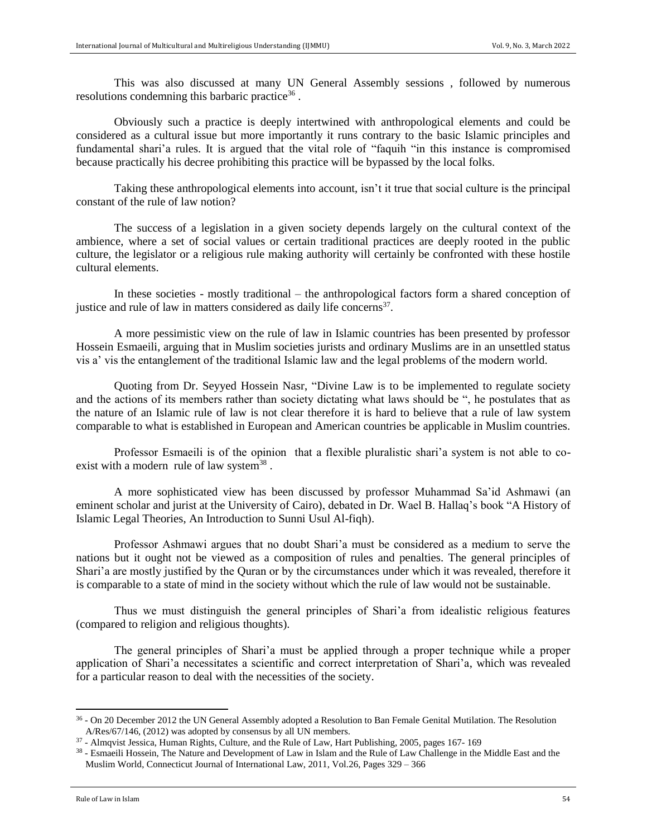This was also discussed at many UN General Assembly sessions , followed by numerous resolutions condemning this barbaric practice<sup>36</sup>.

Obviously such a practice is deeply intertwined with anthropological elements and could be considered as a cultural issue but more importantly it runs contrary to the basic Islamic principles and fundamental shari'a rules. It is argued that the vital role of "faquih "in this instance is compromised because practically his decree prohibiting this practice will be bypassed by the local folks.

Taking these anthropological elements into account, isn't it true that social culture is the principal constant of the rule of law notion?

The success of a legislation in a given society depends largely on the cultural context of the ambience, where a set of social values or certain traditional practices are deeply rooted in the public culture, the legislator or a religious rule making authority will certainly be confronted with these hostile cultural elements.

In these societies - mostly traditional – the anthropological factors form a shared conception of justice and rule of law in matters considered as daily life concerns<sup>37</sup>.

A more pessimistic view on the rule of law in Islamic countries has been presented by professor Hossein Esmaeili, arguing that in Muslim societies jurists and ordinary Muslims are in an unsettled status vis a' vis the entanglement of the traditional Islamic law and the legal problems of the modern world.

Quoting from Dr. Seyyed Hossein Nasr, "Divine Law is to be implemented to regulate society and the actions of its members rather than society dictating what laws should be ", he postulates that as the nature of an Islamic rule of law is not clear therefore it is hard to believe that a rule of law system comparable to what is established in European and American countries be applicable in Muslim countries.

Professor Esmaeili is of the opinion that a flexible pluralistic shari'a system is not able to coexist with a modern rule of law system $38$ .

A more sophisticated view has been discussed by professor Muhammad Sa'id Ashmawi (an eminent scholar and jurist at the University of Cairo), debated in Dr. Wael B. Hallaq's book "A History of Islamic Legal Theories, An Introduction to Sunni Usul Al-fiqh).

Professor Ashmawi argues that no doubt Shari'a must be considered as a medium to serve the nations but it ought not be viewed as a composition of rules and penalties. The general principles of Shari'a are mostly justified by the Quran or by the circumstances under which it was revealed, therefore it is comparable to a state of mind in the society without which the rule of law would not be sustainable.

Thus we must distinguish the general principles of Shari'a from idealistic religious features (compared to religion and religious thoughts).

The general principles of Shari'a must be applied through a proper technique while a proper application of Shari'a necessitates a scientific and correct interpretation of Shari'a, which was revealed for a particular reason to deal with the necessities of the society.

<sup>&</sup>lt;sup>36</sup> - On 20 December 2012 the UN General Assembly adopted a Resolution to Ban Female Genital Mutilation. The Resolution A/Res/67/146, (2012) was adopted by consensus by all UN members.

<sup>37</sup> - Almqvist Jessica, Human Rights, Culture, and the Rule of Law, Hart Publishing, 2005, pages 167- 169

<sup>&</sup>lt;sup>38</sup> - Esmaeili Hossein, The Nature and Development of Law in Islam and the Rule of Law Challenge in the Middle East and the Muslim World, Connecticut Journal of International Law, 2011, Vol.26, Pages 329 – 366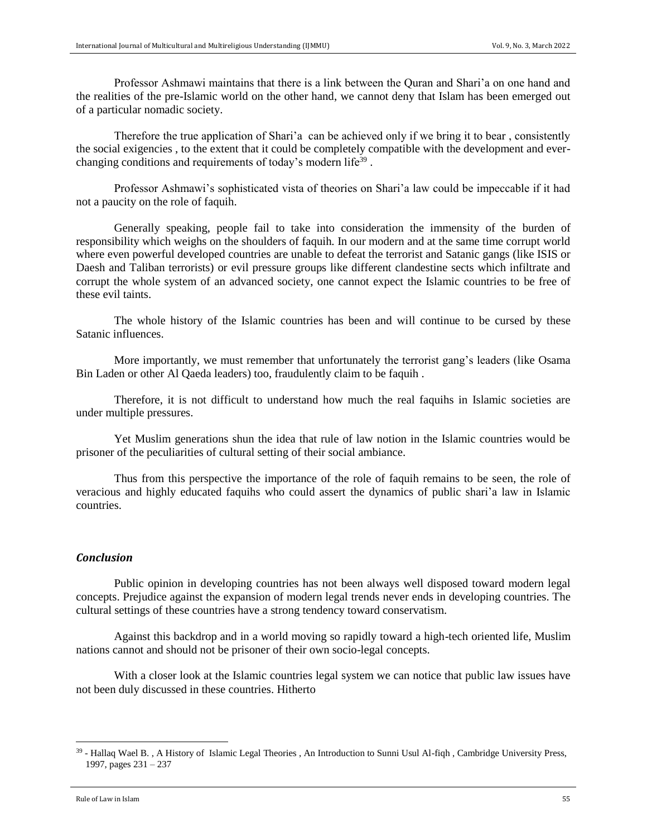Professor Ashmawi maintains that there is a link between the Quran and Shari'a on one hand and the realities of the pre-Islamic world on the other hand, we cannot deny that Islam has been emerged out of a particular nomadic society.

Therefore the true application of Shari'a can be achieved only if we bring it to bear , consistently the social exigencies , to the extent that it could be completely compatible with the development and everchanging conditions and requirements of today's modern life<sup>39</sup>.

Professor Ashmawi's sophisticated vista of theories on Shari'a law could be impeccable if it had not a paucity on the role of faquih.

Generally speaking, people fail to take into consideration the immensity of the burden of responsibility which weighs on the shoulders of faquih. In our modern and at the same time corrupt world where even powerful developed countries are unable to defeat the terrorist and Satanic gangs (like ISIS or Daesh and Taliban terrorists) or evil pressure groups like different clandestine sects which infiltrate and corrupt the whole system of an advanced society, one cannot expect the Islamic countries to be free of these evil taints.

The whole history of the Islamic countries has been and will continue to be cursed by these Satanic influences.

More importantly, we must remember that unfortunately the terrorist gang's leaders (like Osama Bin Laden or other Al Qaeda leaders) too, fraudulently claim to be faquih .

Therefore, it is not difficult to understand how much the real faquihs in Islamic societies are under multiple pressures.

Yet Muslim generations shun the idea that rule of law notion in the Islamic countries would be prisoner of the peculiarities of cultural setting of their social ambiance.

Thus from this perspective the importance of the role of faquih remains to be seen, the role of veracious and highly educated faquihs who could assert the dynamics of public shari'a law in Islamic countries.

#### *Conclusion*

Public opinion in developing countries has not been always well disposed toward modern legal concepts. Prejudice against the expansion of modern legal trends never ends in developing countries. The cultural settings of these countries have a strong tendency toward conservatism.

Against this backdrop and in a world moving so rapidly toward a high-tech oriented life, Muslim nations cannot and should not be prisoner of their own socio-legal concepts.

With a closer look at the Islamic countries legal system we can notice that public law issues have not been duly discussed in these countries. Hitherto

<sup>&</sup>lt;sup>39</sup> - Hallaq Wael B., A History of Islamic Legal Theories, An Introduction to Sunni Usul Al-fiqh, Cambridge University Press, 1997, pages 231 – 237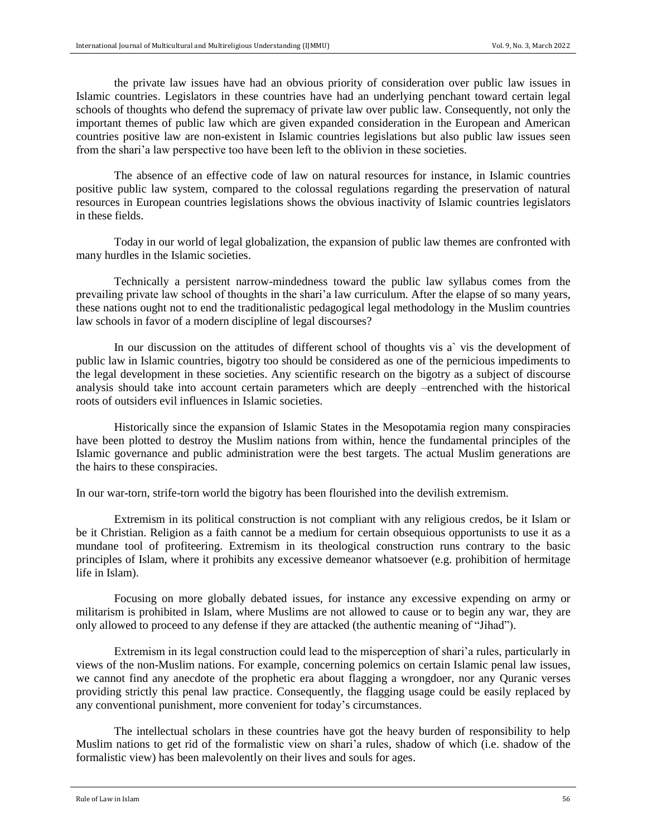the private law issues have had an obvious priority of consideration over public law issues in Islamic countries. Legislators in these countries have had an underlying penchant toward certain legal schools of thoughts who defend the supremacy of private law over public law. Consequently, not only the important themes of public law which are given expanded consideration in the European and American countries positive law are non-existent in Islamic countries legislations but also public law issues seen from the shari'a law perspective too have been left to the oblivion in these societies.

The absence of an effective code of law on natural resources for instance, in Islamic countries positive public law system, compared to the colossal regulations regarding the preservation of natural resources in European countries legislations shows the obvious inactivity of Islamic countries legislators in these fields.

Today in our world of legal globalization, the expansion of public law themes are confronted with many hurdles in the Islamic societies.

Technically a persistent narrow-mindedness toward the public law syllabus comes from the prevailing private law school of thoughts in the shari'a law curriculum. After the elapse of so many years, these nations ought not to end the traditionalistic pedagogical legal methodology in the Muslim countries law schools in favor of a modern discipline of legal discourses?

In our discussion on the attitudes of different school of thoughts vis a` vis the development of public law in Islamic countries, bigotry too should be considered as one of the pernicious impediments to the legal development in these societies. Any scientific research on the bigotry as a subject of discourse analysis should take into account certain parameters which are deeply –entrenched with the historical roots of outsiders evil influences in Islamic societies.

Historically since the expansion of Islamic States in the Mesopotamia region many conspiracies have been plotted to destroy the Muslim nations from within, hence the fundamental principles of the Islamic governance and public administration were the best targets. The actual Muslim generations are the hairs to these conspiracies.

In our war-torn, strife-torn world the bigotry has been flourished into the devilish extremism.

Extremism in its political construction is not compliant with any religious credos, be it Islam or be it Christian. Religion as a faith cannot be a medium for certain obsequious opportunists to use it as a mundane tool of profiteering. Extremism in its theological construction runs contrary to the basic principles of Islam, where it prohibits any excessive demeanor whatsoever (e.g. prohibition of hermitage life in Islam).

Focusing on more globally debated issues, for instance any excessive expending on army or militarism is prohibited in Islam, where Muslims are not allowed to cause or to begin any war, they are only allowed to proceed to any defense if they are attacked (the authentic meaning of "Jihad").

Extremism in its legal construction could lead to the misperception of shari'a rules, particularly in views of the non-Muslim nations. For example, concerning polemics on certain Islamic penal law issues, we cannot find any anecdote of the prophetic era about flagging a wrongdoer, nor any Quranic verses providing strictly this penal law practice. Consequently, the flagging usage could be easily replaced by any conventional punishment, more convenient for today's circumstances.

The intellectual scholars in these countries have got the heavy burden of responsibility to help Muslim nations to get rid of the formalistic view on shari'a rules, shadow of which (i.e. shadow of the formalistic view) has been malevolently on their lives and souls for ages.